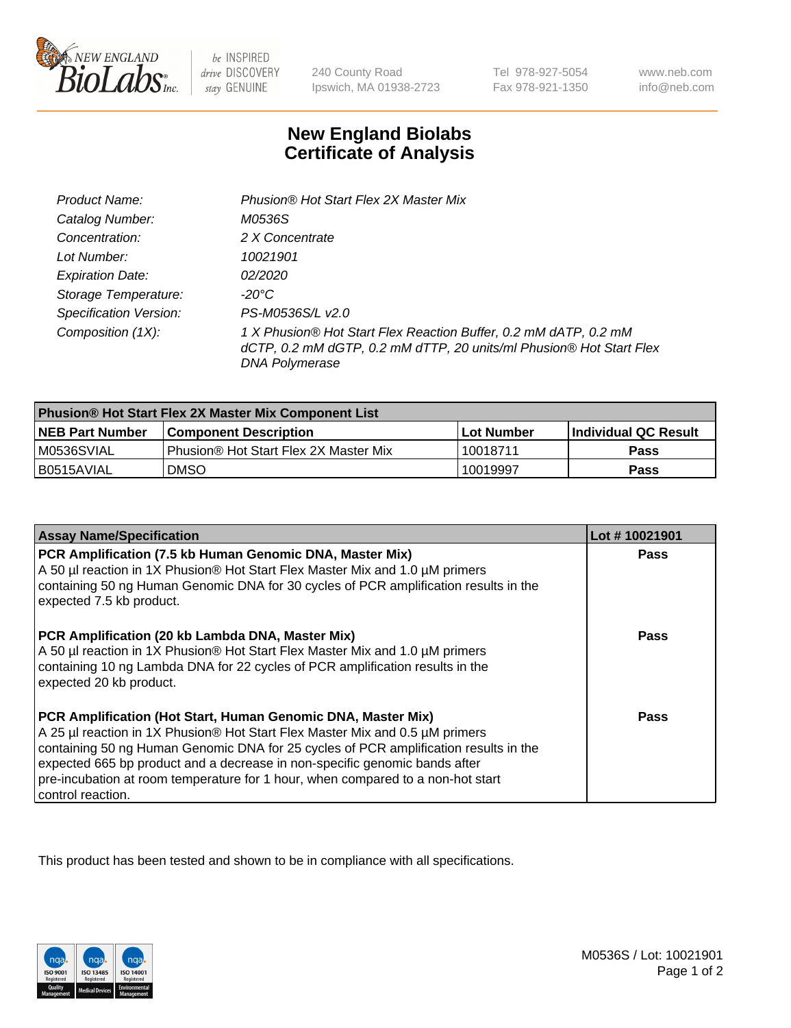

be INSPIRED drive DISCOVERY stay GENUINE

240 County Road Ipswich, MA 01938-2723

Tel 978-927-5054 Fax 978-921-1350

www.neb.com info@neb.com

## **New England Biolabs Certificate of Analysis**

| Product Name:                 | Phusion® Hot Start Flex 2X Master Mix                                                                                                                     |
|-------------------------------|-----------------------------------------------------------------------------------------------------------------------------------------------------------|
| Catalog Number:               | M0536S                                                                                                                                                    |
| Concentration:                | 2 X Concentrate                                                                                                                                           |
| Lot Number:                   | 10021901                                                                                                                                                  |
| <b>Expiration Date:</b>       | <i>02/2020</i>                                                                                                                                            |
| Storage Temperature:          | -20°C                                                                                                                                                     |
| <b>Specification Version:</b> | PS-M0536S/L v2.0                                                                                                                                          |
| Composition (1X):             | 1 X Phusion® Hot Start Flex Reaction Buffer, 0.2 mM dATP, 0.2 mM<br>dCTP, 0.2 mM dGTP, 0.2 mM dTTP, 20 units/ml Phusion® Hot Start Flex<br>DNA Polymerase |

| <b>Phusion® Hot Start Flex 2X Master Mix Component List</b> |                                       |            |                             |  |
|-------------------------------------------------------------|---------------------------------------|------------|-----------------------------|--|
| <b>NEB Part Number</b>                                      | l Component Description               | Lot Number | <b>Individual QC Result</b> |  |
| M0536SVIAL                                                  | Phusion® Hot Start Flex 2X Master Mix | 10018711   | Pass                        |  |
| I B0515AVIAL                                                | <b>DMSO</b>                           | 10019997   | <b>Pass</b>                 |  |

| <b>Assay Name/Specification</b>                                                                                                                                                                                                                                                                                                                                                                                            | Lot #10021901 |
|----------------------------------------------------------------------------------------------------------------------------------------------------------------------------------------------------------------------------------------------------------------------------------------------------------------------------------------------------------------------------------------------------------------------------|---------------|
| PCR Amplification (7.5 kb Human Genomic DNA, Master Mix)<br>A 50 µl reaction in 1X Phusion® Hot Start Flex Master Mix and 1.0 µM primers<br>containing 50 ng Human Genomic DNA for 30 cycles of PCR amplification results in the<br>expected 7.5 kb product.                                                                                                                                                               | <b>Pass</b>   |
| PCR Amplification (20 kb Lambda DNA, Master Mix)<br>A 50 µl reaction in 1X Phusion® Hot Start Flex Master Mix and 1.0 µM primers<br>containing 10 ng Lambda DNA for 22 cycles of PCR amplification results in the<br>expected 20 kb product.                                                                                                                                                                               | Pass          |
| PCR Amplification (Hot Start, Human Genomic DNA, Master Mix)<br>A 25 µl reaction in 1X Phusion® Hot Start Flex Master Mix and 0.5 µM primers<br>containing 50 ng Human Genomic DNA for 25 cycles of PCR amplification results in the<br>expected 665 bp product and a decrease in non-specific genomic bands after<br>pre-incubation at room temperature for 1 hour, when compared to a non-hot start<br>control reaction. | <b>Pass</b>   |

This product has been tested and shown to be in compliance with all specifications.